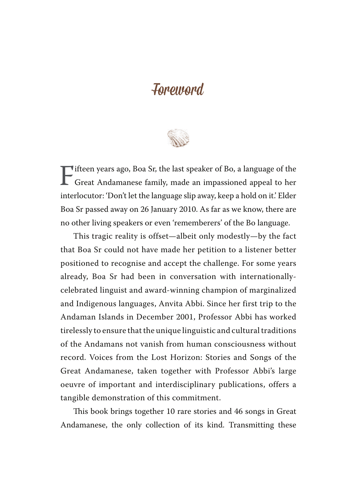## Foreword

Fifteen years ago, Boa Sr, the last speaker of Bo, a language of the<br>Great Andamanese family, made an impassioned appeal to her<br>interlection (David the language clin away learn a hald on it) Elder Great Andamanese family, made an impassioned appeal to her interlocutor: 'Don't let the language slip away, keep a hold on it.' Elder Boa Sr passed away on 26 January 2010. As far as we know, there are no other living speakers or even 'rememberers' of the Bo language.

This tragic reality is offset—albeit only modestly—by the fact that Boa Sr could not have made her petition to a listener better positioned to recognise and accept the challenge. For some years already, Boa Sr had been in conversation with internationallycelebrated linguist and award-winning champion of marginalized and Indigenous languages, Anvita Abbi. Since her first trip to the Andaman Islands in December 2001, Professor Abbi has worked tirelessly to ensure that the unique linguistic and cultural traditions of the Andamans not vanish from human consciousness without record. Voices from the Lost Horizon: Stories and Songs of the Great Andamanese, taken together with Professor Abbi's large oeuvre of important and interdisciplinary publications, offers a tangible demonstration of this commitment.

This book brings together 10 rare stories and 46 songs in Great Andamanese, the only collection of its kind. Transmitting these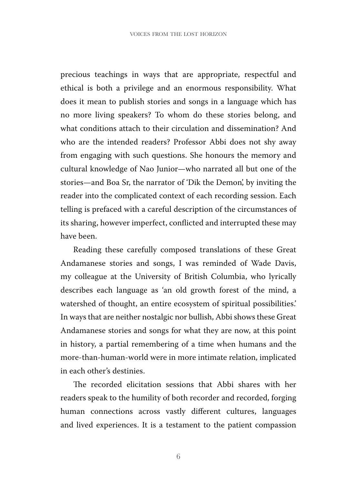precious teachings in ways that are appropriate, respectful and ethical is both a privilege and an enormous responsibility. What does it mean to publish stories and songs in a language which has no more living speakers? To whom do these stories belong, and what conditions attach to their circulation and dissemination? And who are the intended readers? Professor Abbi does not shy away from engaging with such questions. She honours the memory and cultural knowledge of Nao Junior—who narrated all but one of the stories—and Boa Sr, the narrator of 'Dik the Demon', by inviting the reader into the complicated context of each recording session. Each telling is prefaced with a careful description of the circumstances of its sharing, however imperfect, conflicted and interrupted these may have been.

Reading these carefully composed translations of these Great Andamanese stories and songs, I was reminded of Wade Davis, my colleague at the University of British Columbia, who lyrically describes each language as 'an old growth forest of the mind, a watershed of thought, an entire ecosystem of spiritual possibilities.' In ways that are neither nostalgic nor bullish, Abbi shows these Great Andamanese stories and songs for what they are now, at this point in history, a partial remembering of a time when humans and the more-than-human-world were in more intimate relation, implicated in each other's destinies.

The recorded elicitation sessions that Abbi shares with her readers speak to the humility of both recorder and recorded, forging human connections across vastly different cultures, languages and lived experiences. It is a testament to the patient compassion

6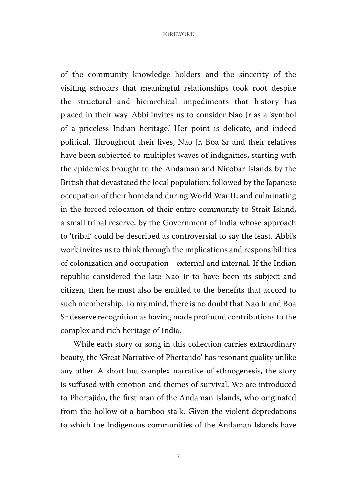of the community knowledge holders and the sincerity of the visiting scholars that meaningful relationships took root despite the structural and hierarchical impediments that history has placed in their way. Abbi invites us to consider Nao Jr as a 'symbol of a priceless Indian heritage.' Her point is delicate, and indeed political. Throughout their lives, Nao Jr, Boa Sr and their relatives have been subjected to multiples waves of indignities, starting with the epidemics brought to the Andaman and Nicobar Islands by the British that devastated the local population; followed by the Japanese occupation of their homeland during World War II; and culminating in the forced relocation of their entire community to Strait Island, a small tribal reserve, by the Government of India whose approach to 'tribal' could be described as controversial to say the least. Abbi's work invites us to think through the implications and responsibilities of colonization and occupation—external and internal. If the Indian republic considered the late Nao Jr to have been its subject and citizen, then he must also be entitled to the benefits that accord to such membership. To my mind, there is no doubt that Nao Jr and Boa Sr deserve recognition as having made profound contributions to the complex and rich heritage of India.

While each story or song in this collection carries extraordinary beauty, the 'Great Narrative of Phertajido' has resonant quality unlike any other. A short but complex narrative of ethnogenesis, the story is suffused with emotion and themes of survival. We are introduced to Phertajido, the first man of the Andaman Islands, who originated from the hollow of a bamboo stalk. Given the violent depredations to which the Indigenous communities of the Andaman Islands have